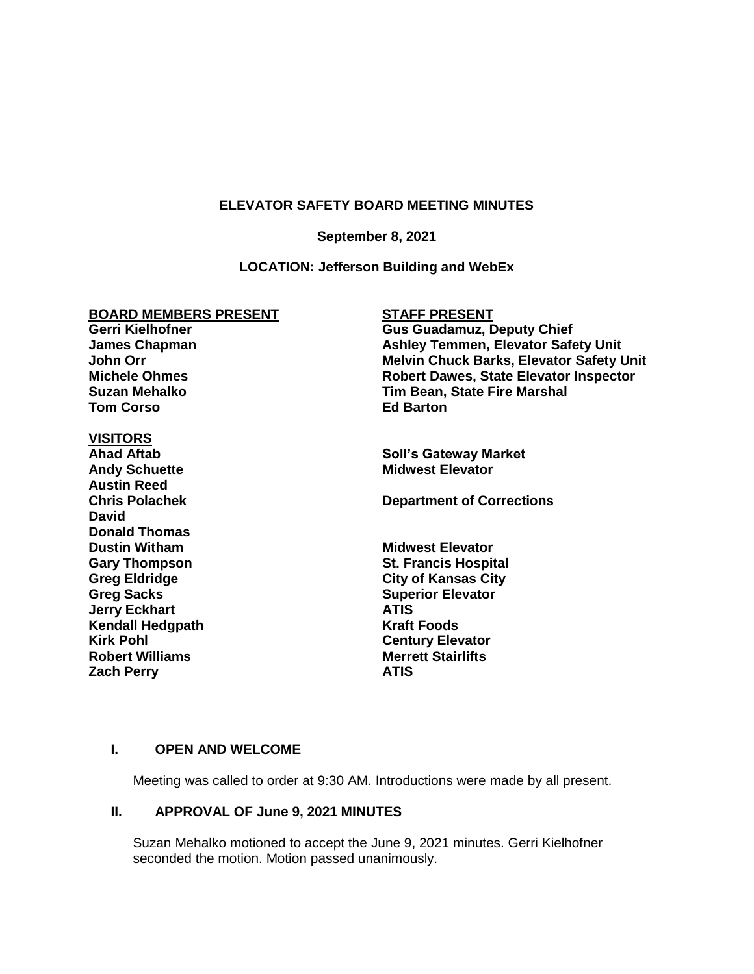## **ELEVATOR SAFETY BOARD MEETING MINUTES**

#### **September 8, 2021**

## **LOCATION: Jefferson Building and WebEx**

## **BOARD MEMBERS PRESENT**

**Gerri Kielhofner James Chapman John Orr Michele Ohmes Suzan Mehalko Tom Corso**

# **VISITORS**

**Andy Schuette Austin Reed David Donald Thomas Dustin Witham Midwest Elevator Greg Sacks Superior Elevator Jerry Eckhart ATIS Kendall Hedgpath Kraft Foods Kirk Pohl Century Elevator Robert Williams Merrett Stairlifts Zach Perry ATIS**

# **STAFF PRESENT**

**Gus Guadamuz, Deputy Chief Ashley Temmen, Elevator Safety Unit Melvin Chuck Barks, Elevator Safety Unit Robert Dawes, State Elevator Inspector Tim Bean, State Fire Marshal Ed Barton**

**Soll's Gateway Market**<br>Midwest Elevator

**Chris Polachek Department of Corrections**

**Gary Thompson St. Francis Hospital Greg Eldridge City of Kansas City**

## **I. OPEN AND WELCOME**

Meeting was called to order at 9:30 AM. Introductions were made by all present.

## **II. APPROVAL OF June 9, 2021 MINUTES**

Suzan Mehalko motioned to accept the June 9, 2021 minutes. Gerri Kielhofner seconded the motion. Motion passed unanimously.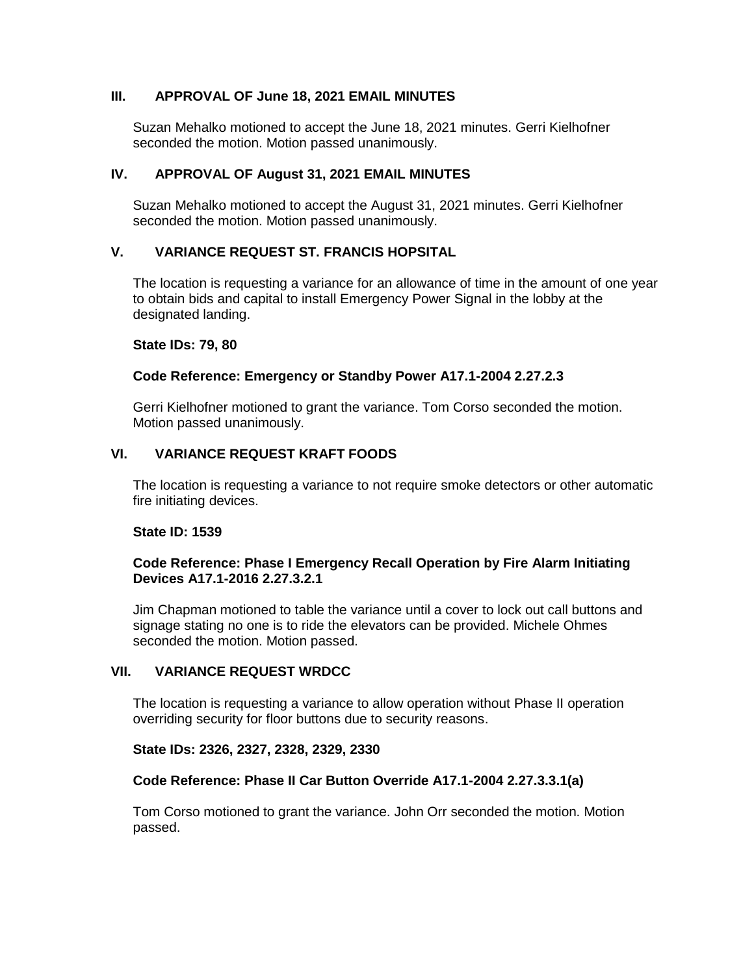# **III. APPROVAL OF June 18, 2021 EMAIL MINUTES**

Suzan Mehalko motioned to accept the June 18, 2021 minutes. Gerri Kielhofner seconded the motion. Motion passed unanimously.

## **IV. APPROVAL OF August 31, 2021 EMAIL MINUTES**

Suzan Mehalko motioned to accept the August 31, 2021 minutes. Gerri Kielhofner seconded the motion. Motion passed unanimously.

## **V. VARIANCE REQUEST ST. FRANCIS HOPSITAL**

The location is requesting a variance for an allowance of time in the amount of one year to obtain bids and capital to install Emergency Power Signal in the lobby at the designated landing.

#### **State IDs: 79, 80**

## **Code Reference: Emergency or Standby Power A17.1-2004 2.27.2.3**

Gerri Kielhofner motioned to grant the variance. Tom Corso seconded the motion. Motion passed unanimously.

# **VI. VARIANCE REQUEST KRAFT FOODS**

The location is requesting a variance to not require smoke detectors or other automatic fire initiating devices.

## **State ID: 1539**

## **Code Reference: Phase I Emergency Recall Operation by Fire Alarm Initiating Devices A17.1-2016 2.27.3.2.1**

Jim Chapman motioned to table the variance until a cover to lock out call buttons and signage stating no one is to ride the elevators can be provided. Michele Ohmes seconded the motion. Motion passed.

## **VII. VARIANCE REQUEST WRDCC**

The location is requesting a variance to allow operation without Phase II operation overriding security for floor buttons due to security reasons.

## **State IDs: 2326, 2327, 2328, 2329, 2330**

## **Code Reference: Phase II Car Button Override A17.1-2004 2.27.3.3.1(a)**

Tom Corso motioned to grant the variance. John Orr seconded the motion. Motion passed.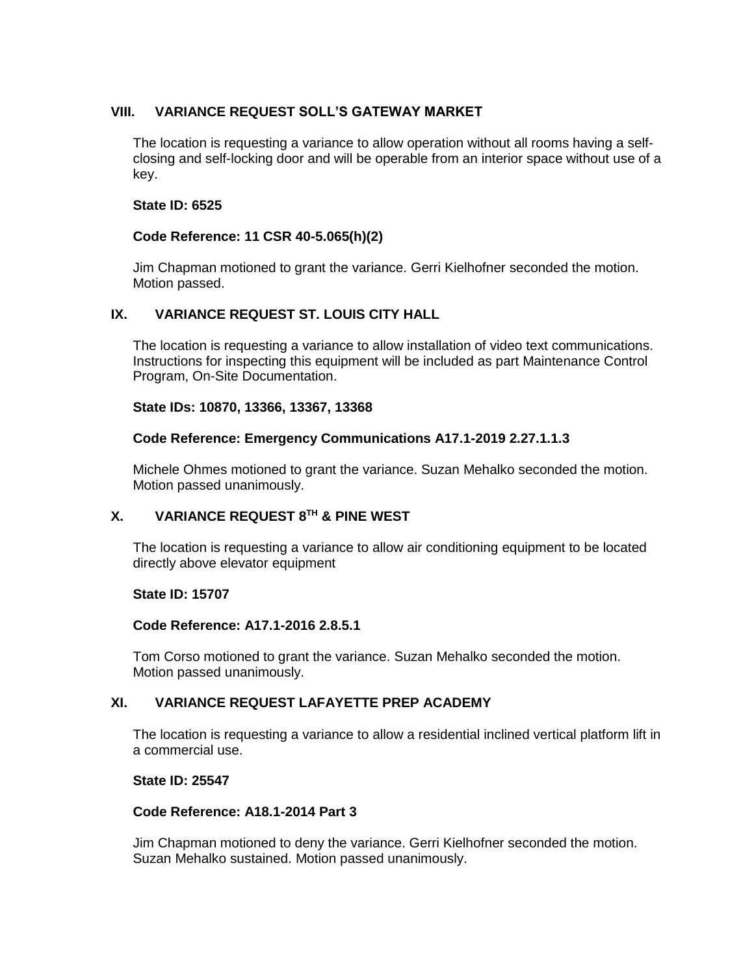# **VIII. VARIANCE REQUEST SOLL'S GATEWAY MARKET**

The location is requesting a variance to allow operation without all rooms having a selfclosing and self-locking door and will be operable from an interior space without use of a key.

# **State ID: 6525**

# **Code Reference: 11 CSR 40-5.065(h)(2)**

Jim Chapman motioned to grant the variance. Gerri Kielhofner seconded the motion. Motion passed.

# **IX. VARIANCE REQUEST ST. LOUIS CITY HALL**

The location is requesting a variance to allow installation of video text communications. Instructions for inspecting this equipment will be included as part Maintenance Control Program, On-Site Documentation.

## **State IDs: 10870, 13366, 13367, 13368**

## **Code Reference: Emergency Communications A17.1-2019 2.27.1.1.3**

Michele Ohmes motioned to grant the variance. Suzan Mehalko seconded the motion. Motion passed unanimously.

# **X. VARIANCE REQUEST 8 TH & PINE WEST**

The location is requesting a variance to allow air conditioning equipment to be located directly above elevator equipment

## **State ID: 15707**

## **Code Reference: A17.1-2016 2.8.5.1**

Tom Corso motioned to grant the variance. Suzan Mehalko seconded the motion. Motion passed unanimously.

# **XI. VARIANCE REQUEST LAFAYETTE PREP ACADEMY**

The location is requesting a variance to allow a residential inclined vertical platform lift in a commercial use.

## **State ID: 25547**

# **Code Reference: A18.1-2014 Part 3**

Jim Chapman motioned to deny the variance. Gerri Kielhofner seconded the motion. Suzan Mehalko sustained. Motion passed unanimously.